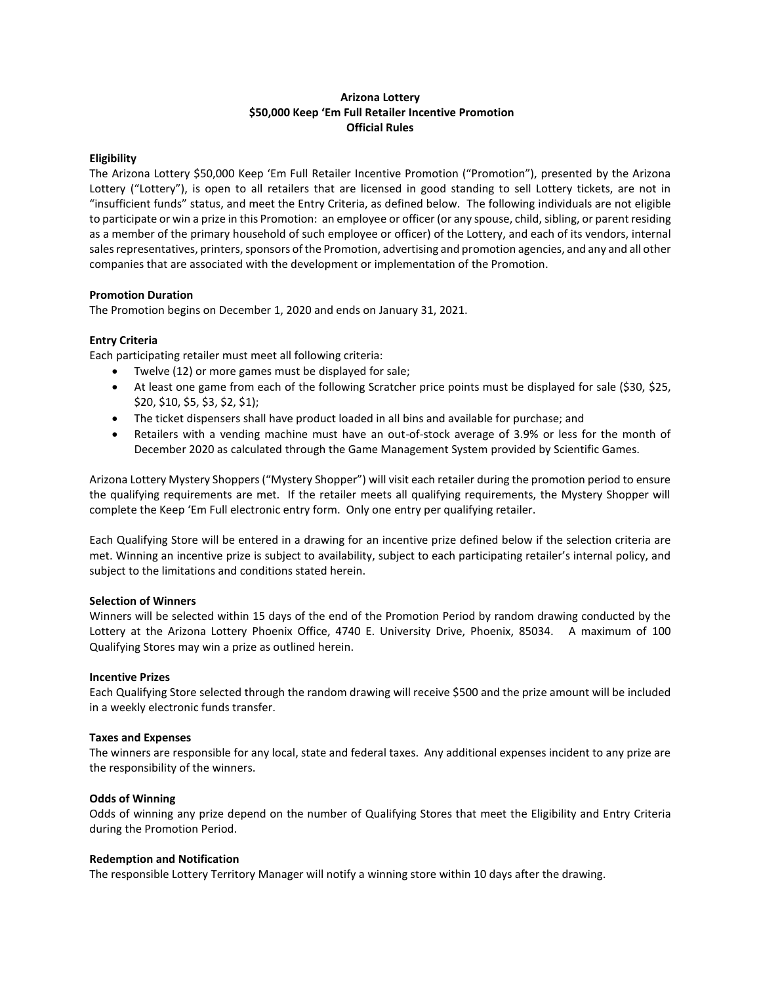## **Arizona Lottery \$50,000 Keep 'Em Full Retailer Incentive Promotion Official Rules**

### **Eligibility**

The Arizona Lottery \$50,000 Keep 'Em Full Retailer Incentive Promotion ("Promotion"), presented by the Arizona Lottery ("Lottery"), is open to all retailers that are licensed in good standing to sell Lottery tickets, are not in "insufficient funds" status, and meet the Entry Criteria, as defined below. The following individuals are not eligible to participate or win a prize in this Promotion: an employee or officer (or any spouse, child, sibling, or parent residing as a member of the primary household of such employee or officer) of the Lottery, and each of its vendors, internal sales representatives, printers, sponsors of the Promotion, advertising and promotion agencies, and any and all other companies that are associated with the development or implementation of the Promotion.

## **Promotion Duration**

The Promotion begins on December 1, 2020 and ends on January 31, 2021.

## **Entry Criteria**

Each participating retailer must meet all following criteria:

- Twelve (12) or more games must be displayed for sale;
- At least one game from each of the following Scratcher price points must be displayed for sale (\$30, \$25, \$20, \$10, \$5, \$3, \$2, \$1);
- The ticket dispensers shall have product loaded in all bins and available for purchase; and
- Retailers with a vending machine must have an out-of-stock average of 3.9% or less for the month of December 2020 as calculated through the Game Management System provided by Scientific Games.

Arizona Lottery Mystery Shoppers ("Mystery Shopper") will visit each retailer during the promotion period to ensure the qualifying requirements are met. If the retailer meets all qualifying requirements, the Mystery Shopper will complete the Keep 'Em Full electronic entry form. Only one entry per qualifying retailer.

Each Qualifying Store will be entered in a drawing for an incentive prize defined below if the selection criteria are met. Winning an incentive prize is subject to availability, subject to each participating retailer's internal policy, and subject to the limitations and conditions stated herein.

### **Selection of Winners**

Winners will be selected within 15 days of the end of the Promotion Period by random drawing conducted by the Lottery at the Arizona Lottery Phoenix Office, 4740 E. University Drive, Phoenix, 85034. A maximum of 100 Qualifying Stores may win a prize as outlined herein.

# **Incentive Prizes**

Each Qualifying Store selected through the random drawing will receive \$500 and the prize amount will be included in a weekly electronic funds transfer.

### **Taxes and Expenses**

The winners are responsible for any local, state and federal taxes. Any additional expenses incident to any prize are the responsibility of the winners.

# **Odds of Winning**

Odds of winning any prize depend on the number of Qualifying Stores that meet the Eligibility and Entry Criteria during the Promotion Period.

### **Redemption and Notification**

The responsible Lottery Territory Manager will notify a winning store within 10 days after the drawing.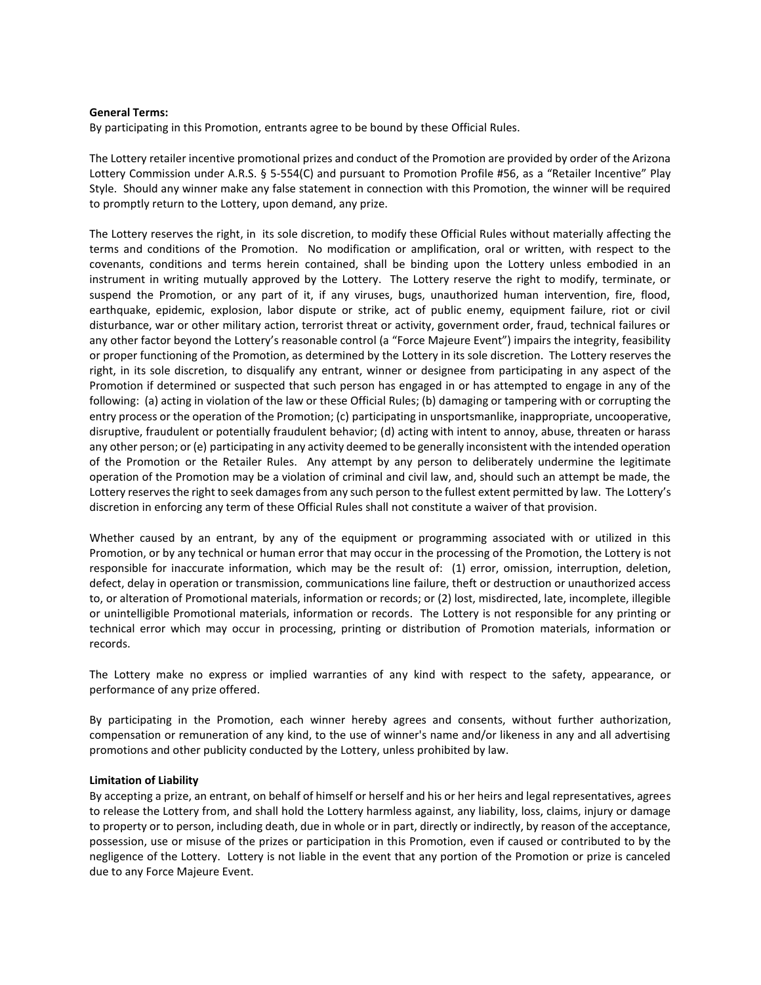### **General Terms:**

By participating in this Promotion, entrants agree to be bound by these Official Rules.

The Lottery retailer incentive promotional prizes and conduct of the Promotion are provided by order of the Arizona Lottery Commission under A.R.S. § 5-554(C) and pursuant to Promotion Profile #56, as a "Retailer Incentive" Play Style. Should any winner make any false statement in connection with this Promotion, the winner will be required to promptly return to the Lottery, upon demand, any prize.

The Lottery reserves the right, in its sole discretion, to modify these Official Rules without materially affecting the terms and conditions of the Promotion. No modification or amplification, oral or written, with respect to the covenants, conditions and terms herein contained, shall be binding upon the Lottery unless embodied in an instrument in writing mutually approved by the Lottery. The Lottery reserve the right to modify, terminate, or suspend the Promotion, or any part of it, if any viruses, bugs, unauthorized human intervention, fire, flood, earthquake, epidemic, explosion, labor dispute or strike, act of public enemy, equipment failure, riot or civil disturbance, war or other military action, terrorist threat or activity, government order, fraud, technical failures or any other factor beyond the Lottery's reasonable control (a "Force Majeure Event") impairs the integrity, feasibility or proper functioning of the Promotion, as determined by the Lottery in its sole discretion. The Lottery reserves the right, in its sole discretion, to disqualify any entrant, winner or designee from participating in any aspect of the Promotion if determined or suspected that such person has engaged in or has attempted to engage in any of the following: (a) acting in violation of the law or these Official Rules; (b) damaging or tampering with or corrupting the entry process or the operation of the Promotion; (c) participating in unsportsmanlike, inappropriate, uncooperative, disruptive, fraudulent or potentially fraudulent behavior; (d) acting with intent to annoy, abuse, threaten or harass any other person; or (e) participating in any activity deemed to be generally inconsistent with the intended operation of the Promotion or the Retailer Rules. Any attempt by any person to deliberately undermine the legitimate operation of the Promotion may be a violation of criminal and civil law, and, should such an attempt be made, the Lottery reserves the right to seek damages from any such person to the fullest extent permitted by law. The Lottery's discretion in enforcing any term of these Official Rules shall not constitute a waiver of that provision.

Whether caused by an entrant, by any of the equipment or programming associated with or utilized in this Promotion, or by any technical or human error that may occur in the processing of the Promotion, the Lottery is not responsible for inaccurate information, which may be the result of: (1) error, omission, interruption, deletion, defect, delay in operation or transmission, communications line failure, theft or destruction or unauthorized access to, or alteration of Promotional materials, information or records; or (2) lost, misdirected, late, incomplete, illegible or unintelligible Promotional materials, information or records. The Lottery is not responsible for any printing or technical error which may occur in processing, printing or distribution of Promotion materials, information or records.

The Lottery make no express or implied warranties of any kind with respect to the safety, appearance, or performance of any prize offered.

By participating in the Promotion, each winner hereby agrees and consents, without further authorization, compensation or remuneration of any kind, to the use of winner's name and/or likeness in any and all advertising promotions and other publicity conducted by the Lottery, unless prohibited by law.

### **Limitation of Liability**

By accepting a prize, an entrant, on behalf of himself or herself and his or her heirs and legal representatives, agrees to release the Lottery from, and shall hold the Lottery harmless against, any liability, loss, claims, injury or damage to property or to person, including death, due in whole or in part, directly or indirectly, by reason of the acceptance, possession, use or misuse of the prizes or participation in this Promotion, even if caused or contributed to by the negligence of the Lottery. Lottery is not liable in the event that any portion of the Promotion or prize is canceled due to any Force Majeure Event.